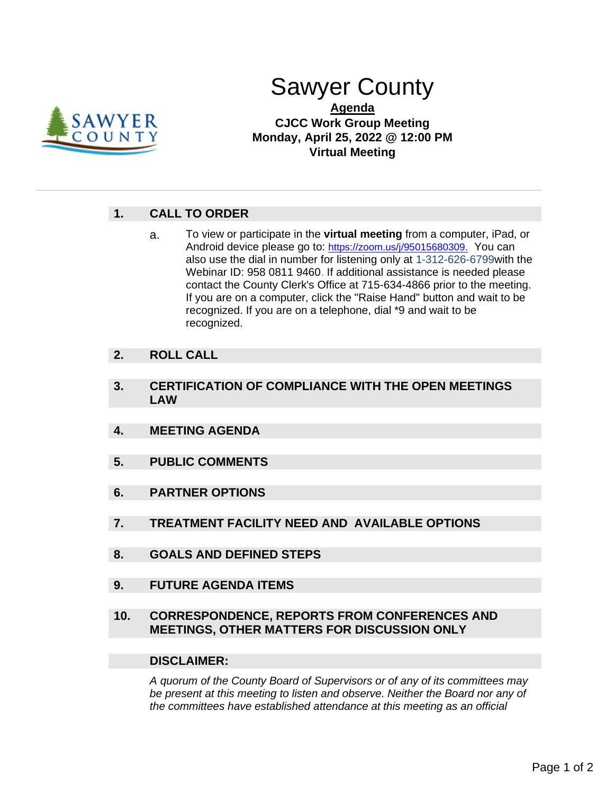

# Sawyer County

### **Agenda CJCC Work Group Meeting Monday, April 25, 2022 @ 12:00 PM Virtual Meeting**

## **1. CALL TO ORDER**

a. To view or participate in the **virtual meeting** from a computer, iPad, or Android device please go to: [https://zoom.us/j/95015680309.](https://us02web.zoom.us/j/83970250533?pwd=RG9ZUy9vWWNOcFI5T2pCOEJzMjR0QT09) You can also use the dial in number for listening only at 1-312-626-6799with the Webinar ID: 958 0811 9460. If additional assistance is needed please contact the County Clerk's Office at 715-634-4866 prior to the meeting. If you are on a computer, click the "Raise Hand" button and wait to be recognized. If you are on a telephone, dial \*9 and wait to be recognized.

#### **2. ROLL CALL**

- **3. CERTIFICATION OF COMPLIANCE WITH THE OPEN MEETINGS LAW**
- **4. MEETING AGENDA**
- **5. PUBLIC COMMENTS**
- **6. PARTNER OPTIONS**
- **7. TREATMENT FACILITY NEED AND AVAILABLE OPTIONS**
- **8. GOALS AND DEFINED STEPS**
- **9. FUTURE AGENDA ITEMS**

#### **10. CORRESPONDENCE, REPORTS FROM CONFERENCES AND MEETINGS, OTHER MATTERS FOR DISCUSSION ONLY**

#### **DISCLAIMER:**

*A quorum of the County Board of Supervisors or of any of its committees may be present at this meeting to listen and observe. Neither the Board nor any of the committees have established attendance at this meeting as an official*